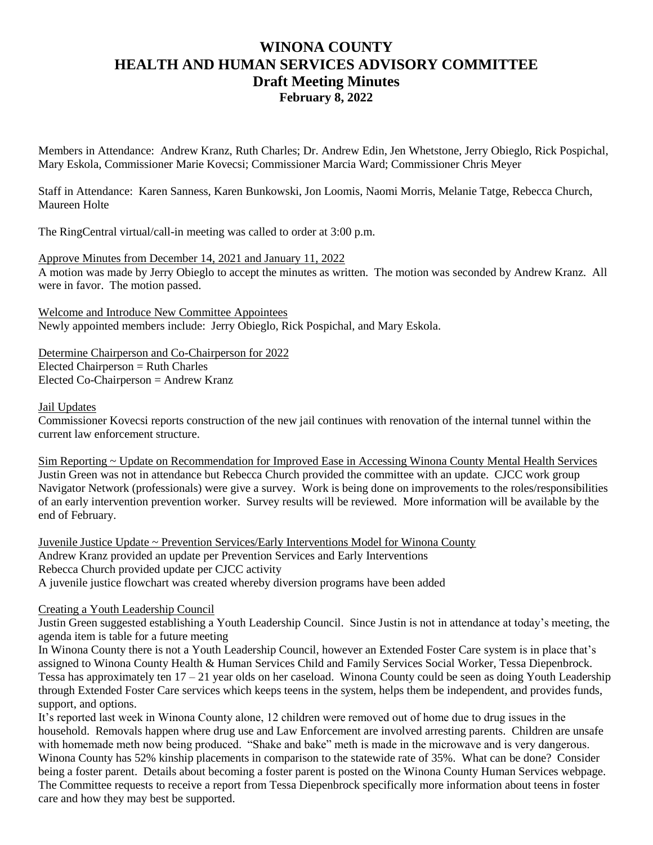# **WINONA COUNTY HEALTH AND HUMAN SERVICES ADVISORY COMMITTEE Draft Meeting Minutes February 8, 2022**

Members in Attendance: Andrew Kranz, Ruth Charles; Dr. Andrew Edin, Jen Whetstone, Jerry Obieglo, Rick Pospichal, Mary Eskola, Commissioner Marie Kovecsi; Commissioner Marcia Ward; Commissioner Chris Meyer

Staff in Attendance: Karen Sanness, Karen Bunkowski, Jon Loomis, Naomi Morris, Melanie Tatge, Rebecca Church, Maureen Holte

The RingCentral virtual/call-in meeting was called to order at 3:00 p.m.

Approve Minutes from December 14, 2021 and January 11, 2022 A motion was made by Jerry Obieglo to accept the minutes as written. The motion was seconded by Andrew Kranz. All were in favor. The motion passed.

Welcome and Introduce New Committee Appointees Newly appointed members include: Jerry Obieglo, Rick Pospichal, and Mary Eskola.

Determine Chairperson and Co-Chairperson for 2022  $Elected Chairperson = Ruth Charles$ Elected Co-Chairperson = Andrew Kranz

Jail Updates

Commissioner Kovecsi reports construction of the new jail continues with renovation of the internal tunnel within the current law enforcement structure.

Sim Reporting ~ Update on Recommendation for Improved Ease in Accessing Winona County Mental Health Services Justin Green was not in attendance but Rebecca Church provided the committee with an update. CJCC work group Navigator Network (professionals) were give a survey. Work is being done on improvements to the roles/responsibilities of an early intervention prevention worker. Survey results will be reviewed. More information will be available by the end of February.

Juvenile Justice Update ~ Prevention Services/Early Interventions Model for Winona County Andrew Kranz provided an update per Prevention Services and Early Interventions Rebecca Church provided update per CJCC activity A juvenile justice flowchart was created whereby diversion programs have been added

Creating a Youth Leadership Council

Justin Green suggested establishing a Youth Leadership Council. Since Justin is not in attendance at today's meeting, the agenda item is table for a future meeting

In Winona County there is not a Youth Leadership Council, however an Extended Foster Care system is in place that's assigned to Winona County Health & Human Services Child and Family Services Social Worker, Tessa Diepenbrock. Tessa has approximately ten 17 – 21 year olds on her caseload. Winona County could be seen as doing Youth Leadership through Extended Foster Care services which keeps teens in the system, helps them be independent, and provides funds, support, and options.

It's reported last week in Winona County alone, 12 children were removed out of home due to drug issues in the household. Removals happen where drug use and Law Enforcement are involved arresting parents. Children are unsafe with homemade meth now being produced. "Shake and bake" meth is made in the microwave and is very dangerous. Winona County has 52% kinship placements in comparison to the statewide rate of 35%. What can be done? Consider being a foster parent. Details about becoming a foster parent is posted on the Winona County Human Services webpage. The Committee requests to receive a report from Tessa Diepenbrock specifically more information about teens in foster care and how they may best be supported.